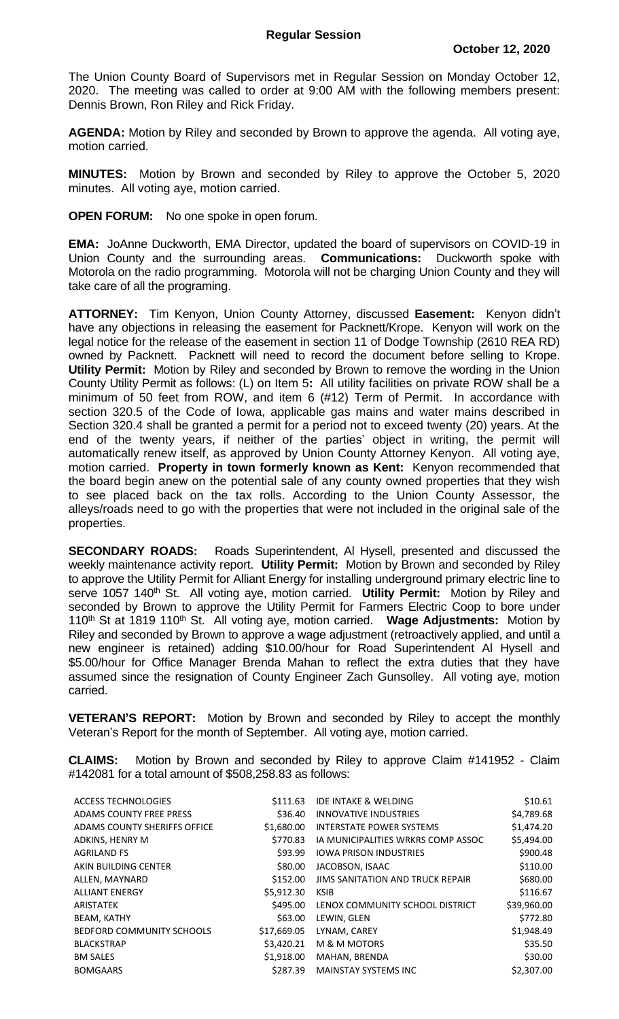The Union County Board of Supervisors met in Regular Session on Monday October 12, 2020. The meeting was called to order at 9:00 AM with the following members present: Dennis Brown, Ron Riley and Rick Friday.

**AGENDA:** Motion by Riley and seconded by Brown to approve the agenda. All voting aye, motion carried.

**MINUTES:** Motion by Brown and seconded by Riley to approve the October 5, 2020 minutes. All voting aye, motion carried.

**OPEN FORUM:** No one spoke in open forum.

**EMA:** JoAnne Duckworth, EMA Director, updated the board of supervisors on COVID-19 in Union County and the surrounding areas. **Communications:** Duckworth spoke with Motorola on the radio programming. Motorola will not be charging Union County and they will take care of all the programing.

**ATTORNEY:** Tim Kenyon, Union County Attorney, discussed **Easement:** Kenyon didn't have any objections in releasing the easement for Packnett/Krope. Kenyon will work on the legal notice for the release of the easement in section 11 of Dodge Township (2610 REA RD) owned by Packnett. Packnett will need to record the document before selling to Krope. **Utility Permit:** Motion by Riley and seconded by Brown to remove the wording in the Union County Utility Permit as follows: (L) on Item 5**:** All utility facilities on private ROW shall be a minimum of 50 feet from ROW, and item 6 (#12) Term of Permit. In accordance with section 320.5 of the Code of Iowa, applicable gas mains and water mains described in Section 320.4 shall be granted a permit for a period not to exceed twenty (20) years. At the end of the twenty years, if neither of the parties' object in writing, the permit will automatically renew itself, as approved by Union County Attorney Kenyon. All voting aye, motion carried. **Property in town formerly known as Kent:** Kenyon recommended that the board begin anew on the potential sale of any county owned properties that they wish to see placed back on the tax rolls. According to the Union County Assessor, the alleys/roads need to go with the properties that were not included in the original sale of the properties.

**SECONDARY ROADS:** Roads Superintendent, Al Hysell, presented and discussed the weekly maintenance activity report. **Utility Permit:** Motion by Brown and seconded by Riley to approve the Utility Permit for Alliant Energy for installing underground primary electric line to serve 1057 140<sup>th</sup> St. All voting aye, motion carried. Utility Permit: Motion by Riley and seconded by Brown to approve the Utility Permit for Farmers Electric Coop to bore under 110th St at 1819 110th St. All voting aye, motion carried. **Wage Adjustments:** Motion by Riley and seconded by Brown to approve a wage adjustment (retroactively applied, and until a new engineer is retained) adding \$10.00/hour for Road Superintendent Al Hysell and \$5.00/hour for Office Manager Brenda Mahan to reflect the extra duties that they have assumed since the resignation of County Engineer Zach Gunsolley. All voting aye, motion carried.

**VETERAN'S REPORT:** Motion by Brown and seconded by Riley to accept the monthly Veteran's Report for the month of September. All voting aye, motion carried.

**CLAIMS:** Motion by Brown and seconded by Riley to approve Claim #141952 - Claim #142081 for a total amount of \$508,258.83 as follows:

| \$111.63    | <b>IDE INTAKE &amp; WELDING</b>    | \$10.61     |
|-------------|------------------------------------|-------------|
| \$36.40     | <b>INNOVATIVE INDUSTRIES</b>       | \$4,789.68  |
| \$1,680.00  | <b>INTERSTATE POWER SYSTEMS</b>    | \$1,474.20  |
| \$770.83    | IA MUNICIPALITIES WRKRS COMP ASSOC | \$5,494.00  |
| \$93.99     | <b>IOWA PRISON INDUSTRIES</b>      | \$900.48    |
| \$80.00     | JACOBSON, ISAAC                    | \$110.00    |
| \$152.00    | JIMS SANITATION AND TRUCK REPAIR   | \$680.00    |
| \$5,912.30  | <b>KSIB</b>                        | \$116.67    |
| \$495.00    | LENOX COMMUNITY SCHOOL DISTRICT    | \$39,960.00 |
| \$63.00     | LEWIN, GLEN                        | \$772.80    |
| \$17,669.05 | LYNAM, CAREY                       | \$1,948.49  |
| \$3,420.21  | M & M MOTORS                       | \$35.50     |
| \$1,918.00  | MAHAN, BRENDA                      | \$30.00     |
| \$287.39    | <b>MAINSTAY SYSTEMS INC</b>        | \$2,307.00  |
|             |                                    |             |